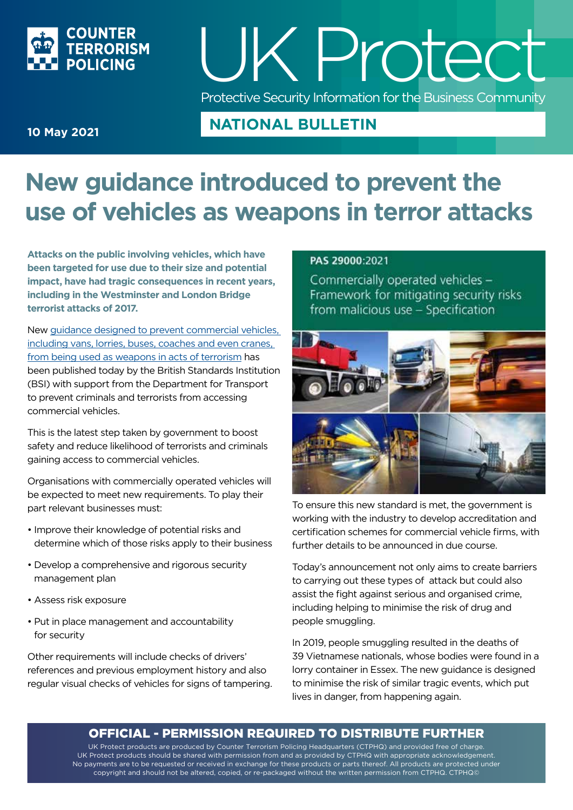

## UK P rotect Protective Security Information for the Business Community

#### **NATIONAL BULLETIN**

#### **10 May 2021**

### **New guidance introduced to prevent the use of vehicles as weapons in terror attacks**

**Attacks on the public involving vehicles, which have been targeted for use due to their size and potential impact, have had tragic consequences in recent years, including in the Westminster and London Bridge terrorist attacks of 2017.**

New [guidance designed to prevent commercial vehicles,](https://shop.bsigroup.com/en/ProductDetail/?pid=000000000030415864&_ga=2.220655325.45261161.1620637678-47585456.1614706338)  [including vans, lorries, buses, coaches and even cranes,](https://shop.bsigroup.com/en/ProductDetail/?pid=000000000030415864&_ga=2.220655325.45261161.1620637678-47585456.1614706338)  [from being used as weapons in acts of terrorism](https://shop.bsigroup.com/en/ProductDetail/?pid=000000000030415864&_ga=2.220655325.45261161.1620637678-47585456.1614706338) has been published today by the British Standards Institution (BSI) with support from the Department for Transport to prevent criminals and terrorists from accessing commercial vehicles.

This is the latest step taken by government to boost safety and reduce likelihood of terrorists and criminals gaining access to commercial vehicles.

Organisations with commercially operated vehicles will be expected to meet new requirements. To play their part relevant businesses must:

- Improve their knowledge of potential risks and determine which of those risks apply to their business
- Develop a comprehensive and rigorous security management plan
- Assess risk exposure
- Put in place management and accountability for security

Other requirements will include checks of drivers' references and previous employment history and also regular visual checks of vehicles for signs of tampering.

#### PAS 29000:2021

Commercially operated vehicles -Framework for mitigating security risks from malicious use - Specification



To ensure this new standard is met, the government is working with the industry to develop accreditation and certification schemes for commercial vehicle firms, with further details to be announced in due course.

Today's announcement not only aims to create barriers to carrying out these types of attack but could also assist the fight against serious and organised crime, including helping to minimise the risk of drug and people smuggling.

In 2019, people smuggling resulted in the deaths of 39 Vietnamese nationals, whose bodies were found in a lorry container in Essex. The new guidance is designed to minimise the risk of similar tragic events, which put lives in danger, from happening again.

#### OFFICIAL - PERMISSION REQUIRED TO DISTRIBUTE FURTHER

UK Protect products are produced by Counter Terrorism Policing Headquarters (CTPHQ) and provided free of charge. UK Protect products should be shared with permission from and as provided by CTPHQ with appropriate acknowledgement. No payments are to be requested or received in exchange for these products or parts thereof. All products are protected under copyright and should not be altered, copied, or re-packaged without the written permission from CTPHQ. CTPHQ©